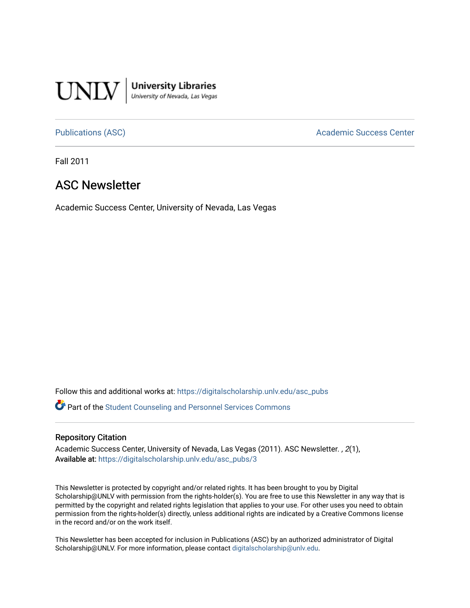

**University Libraries**<br>University of Nevada, Las Vegas

[Publications \(ASC\)](https://digitalscholarship.unlv.edu/asc_pubs) and a context of the Academic Success Center

Fall 2011

#### ASC Newsletter

Academic Success Center, University of Nevada, Las Vegas

Follow this and additional works at: [https://digitalscholarship.unlv.edu/asc\\_pubs](https://digitalscholarship.unlv.edu/asc_pubs?utm_source=digitalscholarship.unlv.edu%2Fasc_pubs%2F3&utm_medium=PDF&utm_campaign=PDFCoverPages) 

Part of the [Student Counseling and Personnel Services Commons](http://network.bepress.com/hgg/discipline/802?utm_source=digitalscholarship.unlv.edu%2Fasc_pubs%2F3&utm_medium=PDF&utm_campaign=PDFCoverPages) 

#### Repository Citation

Academic Success Center, University of Nevada, Las Vegas (2011). ASC Newsletter. , 2(1), Available at: [https://digitalscholarship.unlv.edu/asc\\_pubs/3](https://digitalscholarship.unlv.edu/asc_pubs/3) 

This Newsletter is protected by copyright and/or related rights. It has been brought to you by Digital Scholarship@UNLV with permission from the rights-holder(s). You are free to use this Newsletter in any way that is permitted by the copyright and related rights legislation that applies to your use. For other uses you need to obtain permission from the rights-holder(s) directly, unless additional rights are indicated by a Creative Commons license in the record and/or on the work itself.

This Newsletter has been accepted for inclusion in Publications (ASC) by an authorized administrator of Digital Scholarship@UNLV. For more information, please contact [digitalscholarship@unlv.edu.](mailto:digitalscholarship@unlv.edu)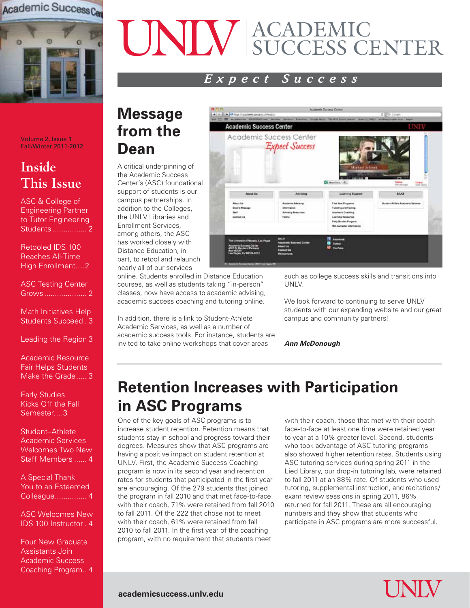

#### Volume 2, Issue 1 Fall/Winter 2011-2012

## **Inside This Issue**

ASC & College of Engineering Partner to Tutor Engineering Students ................ 2

Retooled IDS 100 Reaches All-Time High Enrollment….2

ASC Testing Center Grows .................... 2

Math Initiatives Help Students Succeed . 3

Leading the Region 3

Academic Resource Fair Helps Students Make the Grade..... 3

Early Studies Kicks Off the Fall Semester….3

Student–Athlete Academic Services Welcomes Two New Staff Members ...... 4

A Special Thank You to an Esteemed Colleague............... 4

ASC Welcomes New IDS 100 Instructor . 4

Four New Graduate Assistants Join Academic Success Coaching Program.. 4

# ACADEMIC SUCCESS CENTER

### *Expect Success*

# **Message from the Dean**

A critical underpinning of the Academic Success Center's (ASC) foundational support of students is our campus partnerships. In addition to the Colleges, the UNLV Libraries and Enrollment Services, among others, the ASC has worked closely with Distance Education, in part, to retool and relaunch nearly all of our services

online. Students enrolled in Distance Education courses, as well as students taking "in-person" classes, now have access to academic advising, academic success coaching and tutoring online.

In addition, there is a link to Student-Athlete Academic Services, as well as a number of academic success tools. For instance, students are invited to take online workshops that cover areas



such as college success skills and transitions into UNLV.

We look forward to continuing to serve UNLV students with our expanding website and our great campus and community partners!

*Ann McDonough*

# **Retention increases with participation in ASC Programs**

One of the key goals of ASC programs is to increase student retention. Retention means that students stay in school and progress toward their degrees. Measures show that ASC programs are having a positive impact on student retention at UNLV. First, the Academic Success Coaching program is now in its second year and retention rates for students that participated in the first year are encouraging. Of the 279 students that joined the program in fall 2010 and that met face-to-face with their coach, 71% were retained from fall 2010 to fall 2011. Of the 222 that chose not to meet with their coach, 61% were retained from fall 2010 to fall 2011. In the first year of the coaching program, with no requirement that students meet

with their coach, those that met with their coach face-to-face at least one time were retained year to year at a 10% greater level. Second, students who took advantage of ASC tutoring programs also showed higher retention rates. Students using ASC tutoring services during spring 2011 in the Lied Library, our drop-in tutoring lab, were retained to fall 2011 at an 88% rate. Of students who used tutoring, supplemental instruction, and recitations/ exam review sessions in spring 2011, 86% returned for fall 2011. These are all encouraging numbers and they show that students who participate in ASC programs are more successful.

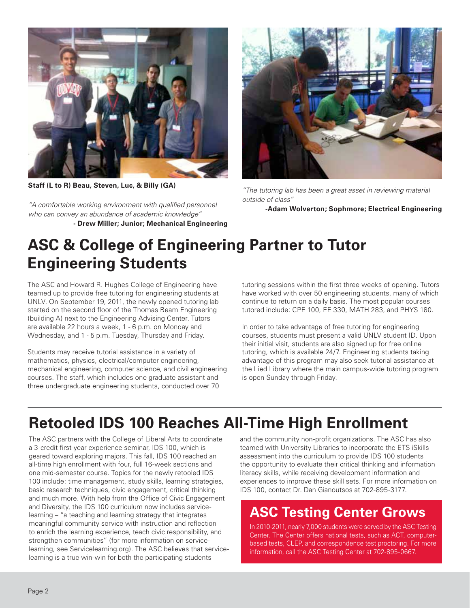

**Staff (L to R) Beau, Steven, Luc, & Billy (GA)**

*"A comfortable working environment with qualified personnel who can convey an abundance of academic knowledge"*

**- Drew Miller; Junior; Mechanical Engineering**



*"The tutoring lab has been a great asset in reviewing material outside of class"*

**-Adam Wolverton; Sophmore; Electrical Engineering**

# **ASC & College of Engineering Partner to Tutor Engineering Students**

The ASC and Howard R. Hughes College of Engineering have teamed up to provide free tutoring for engineering students at UNLV. On September 19, 2011, the newly opened tutoring lab started on the second floor of the Thomas Beam Engineering (building A) next to the Engineering Advising Center. Tutors are available 22 hours a week, 1 - 6 p.m. on Monday and Wednesday, and 1 - 5 p.m. Tuesday, Thursday and Friday.

Students may receive tutorial assistance in a variety of mathematics, physics, electrical/computer engineering, mechanical engineering, computer science, and civil engineering courses. The staff, which includes one graduate assistant and three undergraduate engineering students, conducted over 70

tutoring sessions within the first three weeks of opening. Tutors have worked with over 50 engineering students, many of which continue to return on a daily basis. The most popular courses tutored include: CPE 100, EE 330, MATH 283, and PHYS 180.

In order to take advantage of free tutoring for engineering courses, students must present a valid UNLV student ID. Upon their initial visit, students are also signed up for free online tutoring, which is available 24/7. Engineering students taking advantage of this program may also seek tutorial assistance at the Lied Library where the main campus-wide tutoring program is open Sunday through Friday.

# **Retooled IDS 100 Reaches All-Time High Enrollment**

The ASC partners with the College of Liberal Arts to coordinate a 3-credit first-year experience seminar, IDS 100, which is geared toward exploring majors. This fall, IDS 100 reached an all-time high enrollment with four, full 16-week sections and one mid-semester course. Topics for the newly retooled IDS 100 include: time management, study skills, learning strategies, basic research techniques, civic engagement, critical thinking and much more. With help from the Office of Civic Engagement and Diversity, the IDS 100 curriculum now includes servicelearning – "a teaching and learning strategy that integrates meaningful community service with instruction and reflection to enrich the learning experience, teach civic responsibility, and strengthen communities" (for more information on servicelearning, see Servicelearning.org). The ASC believes that servicelearning is a true win-win for both the participating students

and the community non-profit organizations. The ASC has also teamed with University Libraries to incorporate the ETS iSkills assessment into the curriculum to provide IDS 100 students the opportunity to evaluate their critical thinking and information literacy skills, while receiving development information and experiences to improve these skill sets. For more information on IDS 100, contact Dr. Dan Gianoutsos at 702-895-3177.

## **ASC Testing Center Grows**

In 2010-2011, nearly 7,000 students were served by the ASC Testing Center. The Center offers national tests, such as ACT, computerbased tests, CLEP, and correspondence test proctoring. For more information, call the ASC Testing Center at 702-895-0667.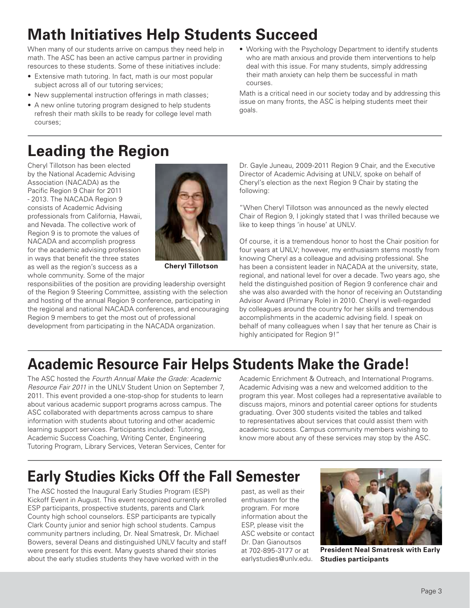# **Math Initiatives Help Students Succeed**

When many of our students arrive on campus they need help in math. The ASC has been an active campus partner in providing resources to these students. Some of these initiatives include:

- Extensive math tutoring. In fact, math is our most popular subject across all of our tutoring services;
- New supplemental instruction offerings in math classes;
- A new online tutoring program designed to help students refresh their math skills to be ready for college level math courses;

# **Leading the Region**

Cheryl Tillotson has been elected by the National Academic Advising Association (NACADA) as the Pacific Region 9 Chair for 2011 - 2013. The NACADA Region 9 consists of Academic Advising professionals from California, Hawaii, and Nevada. The collective work of Region 9 is to promote the values of NACADA and accomplish progress for the academic advising profession in ways that benefit the three states as well as the region's success as a whole community. Some of the major



**Cheryl Tillotson**

responsibilities of the position are providing leadership oversight of the Region 9 Steering Committee, assisting with the selection and hosting of the annual Region 9 conference, participating in the regional and national NACADA conferences, and encouraging Region 9 members to get the most out of professional development from participating in the NACADA organization.

• Working with the Psychology Department to identify students who are math anxious and provide them interventions to help deal with this issue. For many students, simply addressing their math anxiety can help them be successful in math courses.

Math is a critical need in our society today and by addressing this issue on many fronts, the ASC is helping students meet their goals.

Dr. Gayle Juneau, 2009-2011 Region 9 Chair, and the Executive Director of Academic Advising at UNLV, spoke on behalf of Cheryl's election as the next Region 9 Chair by stating the following:

"When Cheryl Tillotson was announced as the newly elected Chair of Region 9, I jokingly stated that I was thrilled because we like to keep things 'in house' at UNLV.

Of course, it is a tremendous honor to host the Chair position for four years at UNLV; however, my enthusiasm stems mostly from knowing Cheryl as a colleague and advising professional. She has been a consistent leader in NACADA at the university, state, regional, and national level for over a decade. Two years ago, she held the distinguished position of Region 9 conference chair and she was also awarded with the honor of receiving an Outstanding Advisor Award (Primary Role) in 2010. Cheryl is well-regarded by colleagues around the country for her skills and tremendous accomplishments in the academic advising field. I speak on behalf of many colleagues when I say that her tenure as Chair is highly anticipated for Region 9!"

# **Academic Resource Fair Helps Students Make the Grade!**

The ASC hosted the *Fourth Annual Make the Grade: Academic Resource Fair 2011* in the UNLV Student Union on September 7, 2011. This event provided a one-stop-shop for students to learn about various academic support programs across campus. The ASC collaborated with departments across campus to share information with students about tutoring and other academic learning support services. Participants included: Tutoring, Academic Success Coaching, Writing Center, Engineering Tutoring Program, Library Services, Veteran Services, Center for

Academic Enrichment & Outreach, and International Programs. Academic Advising was a new and welcomed addition to the program this year. Most colleges had a representative available to discuss majors, minors and potential career options for students graduating. Over 300 students visited the tables and talked to representatives about services that could assist them with academic success. Campus community members wishing to know more about any of these services may stop by the ASC.

# **Early Studies Kicks Off the Fall Semester**

The ASC hosted the Inaugural Early Studies Program (ESP) Kickoff Event in August. This event recognized currently enrolled ESP participants, prospective students, parents and Clark County high school counselors. ESP participants are typically Clark County junior and senior high school students. Campus community partners including, Dr. Neal Smatresk, Dr. Michael Bowers, several Deans and distinguished UNLV faculty and staff were present for this event. Many guests shared their stories about the early studies students they have worked with in the

past, as well as their enthusiasm for the program. For more information about the ESP, please visit the ASC website or contact Dr. Dan Gianoutsos at 702-895-3177 or at earlystudies@unlv.edu.



**President Neal Smatresk with Early Studies participants**